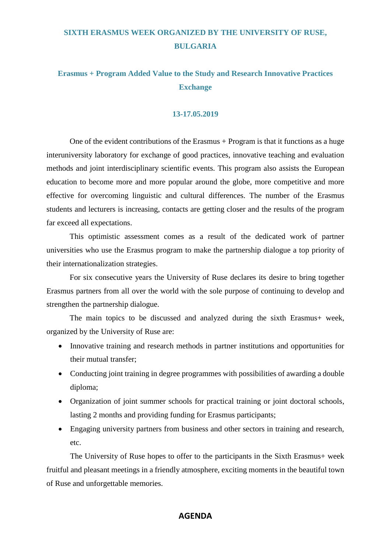## **SIXTH ERASMUS WEEK ORGANIZED BY THE UNIVERSITY OF RUSE, BULGARIA**

## **Erasmus + Program Added Value to the Study and Research Innovative Practices Exchange**

## **13-17.05.2019**

One of the evident contributions of the Erasmus + Program is that it functions as a huge interuniversity laboratory for exchange of good practices, innovative teaching and evaluation methods and joint interdisciplinary scientific events. This program also assists the European education to become more and more popular around the globe, more competitive and more effective for overcoming linguistic and cultural differences. The number of the Erasmus students and lecturers is increasing, contacts are getting closer and the results of the program far exceed all expectations.

This optimistic assessment comes as a result of the dedicated work of partner universities who use the Erasmus program to make the partnership dialogue a top priority of their internationalization strategies.

For six consecutive years the University of Ruse declares its desire to bring together Erasmus partners from all over the world with the sole purpose of continuing to develop and strengthen the partnership dialogue.

The main topics to be discussed and analyzed during the sixth Erasmus+ week, organized by the University of Ruse are:

- Innovative training and research methods in partner institutions and opportunities for their mutual transfer;
- Conducting joint training in degree programmes with possibilities of awarding a double diploma;
- Organization of joint summer schools for practical training or joint doctoral schools, lasting 2 months and providing funding for Erasmus participants;
- Engaging university partners from business and other sectors in training and research, etc.

The University of Ruse hopes to offer to the participants in the Sixth Erasmus+ week fruitful and pleasant meetings in a friendly atmosphere, exciting moments in the beautiful town of Ruse and unforgettable memories.

## **AGENDA**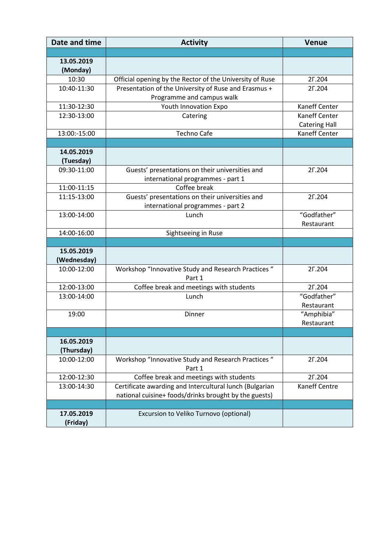| Date and time            | <b>Activity</b>                                                                                                  | <b>Venue</b>                                 |
|--------------------------|------------------------------------------------------------------------------------------------------------------|----------------------------------------------|
|                          |                                                                                                                  |                                              |
| 13.05.2019<br>(Monday)   |                                                                                                                  |                                              |
| 10:30                    | Official opening by the Rector of the University of Ruse                                                         | 2 <sub>F.204</sub>                           |
| 10:40-11:30              | Presentation of the University of Ruse and Erasmus +<br>Programme and campus walk                                | 2Г.204                                       |
| 11:30-12:30              | Youth Innovation Expo                                                                                            | <b>Kaneff Center</b>                         |
| 12:30-13:00              | Catering                                                                                                         | <b>Kaneff Center</b><br><b>Catering Hall</b> |
| 13:00:-15:00             | <b>Techno Cafe</b>                                                                                               | <b>Kaneff Center</b>                         |
|                          |                                                                                                                  |                                              |
| 14.05.2019<br>(Tuesday)  |                                                                                                                  |                                              |
| 09:30-11:00              | Guests' presentations on their universities and<br>international programmes - part 1                             | 2Г.204                                       |
| 11:00-11:15              | Coffee break                                                                                                     |                                              |
| 11:15-13:00              | Guests' presentations on their universities and<br>international programmes - part 2                             | 2Г.204                                       |
| 13:00-14:00              | Lunch                                                                                                            | "Godfather"<br>Restaurant                    |
| 14:00-16:00              | Sightseeing in Ruse                                                                                              |                                              |
|                          |                                                                                                                  |                                              |
| 15.05.2019               |                                                                                                                  |                                              |
| (Wednesday)              |                                                                                                                  |                                              |
| 10:00-12:00              | Workshop "Innovative Study and Research Practices"<br>Part 1                                                     | 2 <sub>F.204</sub>                           |
| 12:00-13:00              | Coffee break and meetings with students                                                                          | 2Г.204                                       |
| 13:00-14:00              | Lunch                                                                                                            | "Godfather"                                  |
| 19:00                    | Dinner                                                                                                           | Restaurant<br>"Amphibia"                     |
|                          |                                                                                                                  | Restaurant                                   |
|                          |                                                                                                                  |                                              |
| 16.05.2019<br>(Thursday) |                                                                                                                  |                                              |
| 10:00-12:00              | Workshop "Innovative Study and Research Practices"<br>Part 1                                                     | 2Г.204                                       |
| 12:00-12:30              | Coffee break and meetings with students                                                                          | 2Г.204                                       |
| 13:00-14:30              | Certificate awarding and Intercultural lunch (Bulgarian<br>national cuisine+ foods/drinks brought by the guests) | <b>Kaneff Centre</b>                         |
|                          |                                                                                                                  |                                              |
| 17.05.2019<br>(Friday)   | Excursion to Veliko Turnovo (optional)                                                                           |                                              |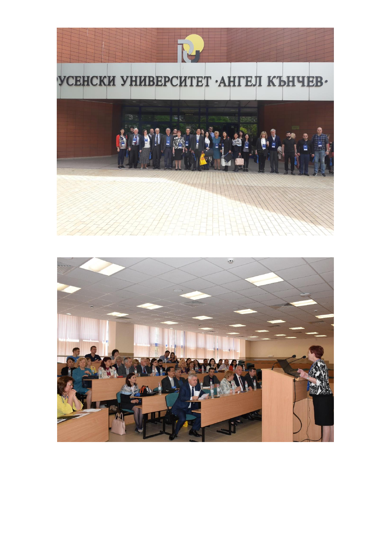

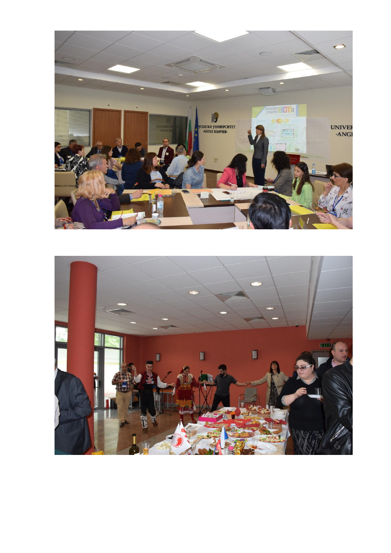